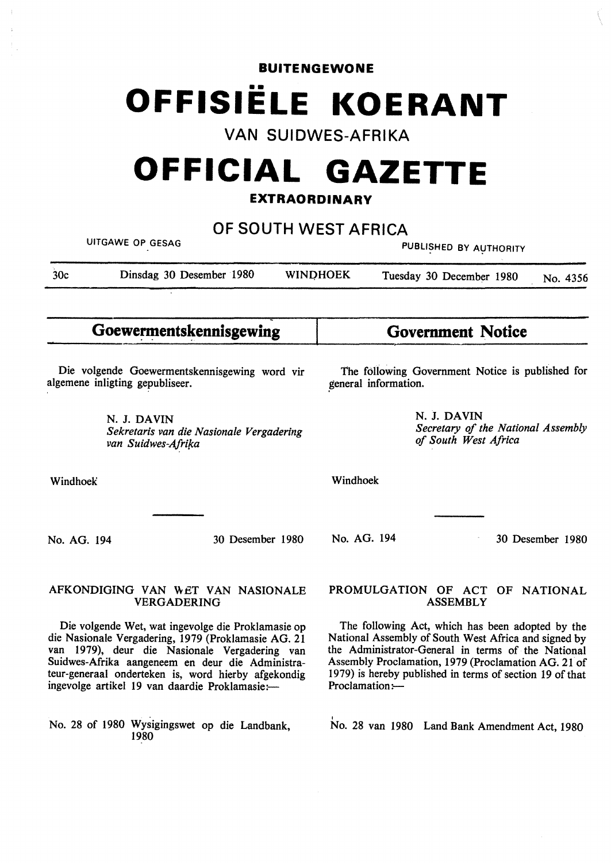### **BUITENGEWONE**

# •• **OFFISIELE KOERANT**

**VAN SUIDWES-AFRIKA** 

# **OFFICIAL GAZETTE**

# **EXTRAORDINARY**

| OF SOUTH WEST AFRICA<br>UITGAWE OP GESAG<br>PUBLISHED BY AUTHORITY                                                                                                                                                                                                                                                      |                                                                               |  |                                                                                                                                                                                                                                                                                                     |                                                                           |                  |
|-------------------------------------------------------------------------------------------------------------------------------------------------------------------------------------------------------------------------------------------------------------------------------------------------------------------------|-------------------------------------------------------------------------------|--|-----------------------------------------------------------------------------------------------------------------------------------------------------------------------------------------------------------------------------------------------------------------------------------------------------|---------------------------------------------------------------------------|------------------|
| 30 <sub>c</sub>                                                                                                                                                                                                                                                                                                         | Dinsdag 30 Desember 1980<br><b>WINDHOEK</b>                                   |  |                                                                                                                                                                                                                                                                                                     | Tuesday 30 December 1980                                                  | No. 4356         |
|                                                                                                                                                                                                                                                                                                                         | Goewermentskennisgewing                                                       |  |                                                                                                                                                                                                                                                                                                     | <b>Government Notice</b>                                                  |                  |
| Die volgende Goewermentskennisgewing word vir<br>algemene inligting gepubliseer.                                                                                                                                                                                                                                        |                                                                               |  | The following Government Notice is published for<br>general information.                                                                                                                                                                                                                            |                                                                           |                  |
|                                                                                                                                                                                                                                                                                                                         | N. J. DAVIN<br>Sekretaris van die Nasionale Vergadering<br>van Suidwes-Afrika |  |                                                                                                                                                                                                                                                                                                     | N. J. DAVIN<br>Secretary of the National Assembly<br>of South West Africa |                  |
| Windhoek                                                                                                                                                                                                                                                                                                                |                                                                               |  | Windhoek                                                                                                                                                                                                                                                                                            |                                                                           |                  |
| No. AG. 194                                                                                                                                                                                                                                                                                                             | 30 Desember 1980                                                              |  | No. AG. 194                                                                                                                                                                                                                                                                                         |                                                                           | 30 Desember 1980 |
| AFKONDIGING VAN WET VAN NASIONALE<br><b>VERGADERING</b>                                                                                                                                                                                                                                                                 |                                                                               |  | PROMULGATION OF ACT OF NATIONAL<br><b>ASSEMBLY</b>                                                                                                                                                                                                                                                  |                                                                           |                  |
| Die volgende Wet, wat ingevolge die Proklamasie op<br>die Nasionale Vergadering, 1979 (Proklamasie AG. 21<br>van 1979), deur die Nasionale Vergadering van<br>Suidwes-Afrika aangeneem en deur die Administra-<br>teur-generaal onderteken is, word hierby afgekondig<br>ingevolge artikel 19 van daardie Proklamasie:- |                                                                               |  | The following Act, which has been adopted by the<br>National Assembly of South West Africa and signed by<br>the Administrator-General in terms of the National<br>Assembly Proclamation, 1979 (Proclamation AG. 21 of<br>1979) is hereby published in terms of section 19 of that<br>Proclamation:- |                                                                           |                  |
|                                                                                                                                                                                                                                                                                                                         | No. 28 of 1980 Wysigingswet op die Landbank,<br>1980                          |  |                                                                                                                                                                                                                                                                                                     | No. 28 van 1980 Land Bank Amendment Act, 1980                             |                  |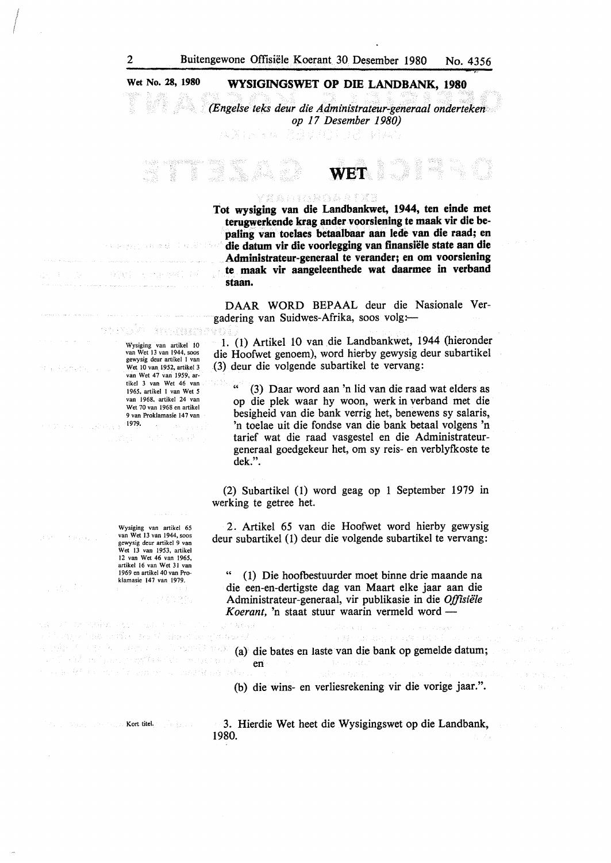#### **Wet No. 28, 1980**

#### **WYSIGINGSWET OP DIE LANDBANK, 1980**

*(Engelse teks deur die Administrateur-generaal onderteken op 17 Desember 1980)* 

팔 보고 있는 그냥

**XXANUMADERY** 

**Tot wysiging van die Landbankwet, 1944, ten einde met**  terugwerkende krag ander voorsiening te maak vir die be**paling van toelaes betaalbaar aan lede van die raad; en die datum vir die voorlegging van finansiele state aan die Administrateur-generaal te verander; en om voorsiening te maak vir aangeleenthede wat daarmee in verband staan.** 

**WET** 

1013

**DAAR WORD** BEPAAL deur die Nasionale Vergadering van Suidwes-Afrika, soos volg:-

1. (1) Artikel 10 van die Landbankwet, 1944 (hieronder die Hoofwet genoem), word hierby gewysig deur subartikel (3) deur die volgende subartikel te vervang:

(3) Daar word aan 'n lid van die raad wat elders as op die plek waar hy woon, werk in verband met die besigheid van die bank verrig het, benewens sy salaris, 'n toelae uit die fondse van die bank betaal volgens 'n tarief wat die raad vasgestel en die Administrateurgeneraal goedgekeur het, om sy reis- en verblyfkoste te dek.".

(2) Subartikel (1) word geag op 1 September 1979 in werking te getree het.

2. Artikel 65 van die Hoofwet word hierby gewysig deur subartikel (1) deur die volgende subartikel te vervang:

" (1) Die hoofbestuurder moet binne drie maande na die een-en-dertigste dag van Maart elke jaar aan die Administrateur-generaal, vir publikasie in die *Offisiele Koerant*, 'n staat stuur waarin vermeld word -

Wysiging van artikel 10<br>van Wet 13 van 1944, soos<br>gewysig deur artikel 1 van<br>Wet 10 van 1952, artikel 3 van Wet 47 van 1959, artikel 3 van Wet 46 van 1965, artikel 1 van Wet *5*  van 1968, artikel 24 van Wet 70 van 1968 en artikel 9 van Proklamasie 147 van 1979.

til Reynon.

Wysiging van artikel 65 van Wet 13 van 1944, soos gewysig deur artikel 9 van Wet 13 van 1953, artikel 12 van Wet 46 van 1965, artikel 16 van Wet 31 van 1969 en artikel 40 van Proklamasie 147 van 1979. 计结构选择

1 SW Ballys Hartford (St. 1894) est the factory and an internal community of the community of the community of the community of the community of the community of the community of the community of the community of the community of the community of the communi

 $\leq \lambda_2 \lesssim \varepsilon_{\rm NLO}$  .

tvor (2

(a) die bates en laste van die bank op gemelde datum; en

(b) die wins- en verliesrekening vir die vorige jaar.".

Kort titel.

Plane the strike heat hose

医白血细胞瘤 医无水

3. Hierdie Wet heet die Wysigingswet op die Landbank, 1980.